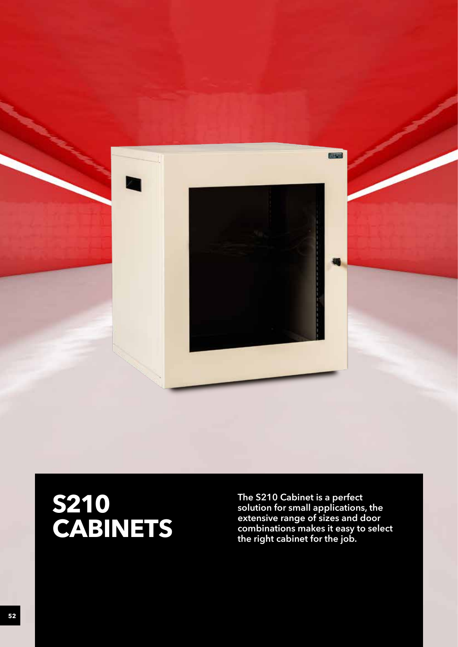

# **S210 CABINETS**

**The S210 Cabinet is a perfect solution for small applications, the extensive range of sizes and door combinations makes it easy to select the right cabinet for the job.**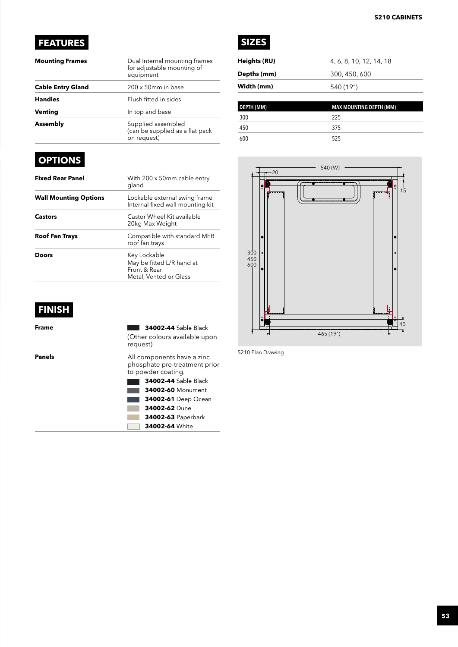# **FEATURES**

| <b>Mounting Frames</b>   | Dual Internal mounting frames<br>for adjustable mounting of<br>equipment |
|--------------------------|--------------------------------------------------------------------------|
| <b>Cable Entry Gland</b> | $200 \times 50$ mm in base                                               |
| <b>Handles</b>           | Flush fitted in sides                                                    |
| Venting                  | In top and base                                                          |
| Assembly                 | Supplied assembled<br>(can be supplied as a flat pack<br>on request)     |

# **OPTIONS**

| <b>Fixed Rear Panel</b>      | With 200 x 50mm cable entry<br>gland                                                |
|------------------------------|-------------------------------------------------------------------------------------|
| <b>Wall Mounting Options</b> | Lockable external swing frame<br>Internal fixed wall mounting kit                   |
| <b>Castors</b>               | Castor Wheel Kit available<br>20kg Max Weight                                       |
| <b>Roof Fan Trays</b>        | Compatible with standard MFB<br>roof fan trays                                      |
| Doors                        | Key Lockable<br>May be fitted L/R hand at<br>Front & Rear<br>Metal, Vented or Glass |

# **FINISH**

| Frame  | <b>34002-44 Sable Black</b><br>(Other colours available upon<br>request)          |
|--------|-----------------------------------------------------------------------------------|
| Panels | All components have a zinc<br>phosphate pre-treatment prior<br>to powder coating. |
|        | <b>34002-44 Sable Black</b>                                                       |
|        | 34002-60 Monument                                                                 |
|        | 34002-61 Deep Ocean                                                               |
|        | 34002-62 Dune                                                                     |
|        | <b>34002-63 Paperbark</b>                                                         |
|        | 34002-64 White                                                                    |



| Heights (RU) | 4, 6, 8, 10, 12, 14, 18 |
|--------------|-------------------------|
| Depths (mm)  | 300, 450, 600           |
| Width (mm)   | 540 (19")               |
|              |                         |

| <b>DEPTH (MM)</b> | <b>MAX MOUNTING DEPTH (MM)</b> |
|-------------------|--------------------------------|
| 300               | 225                            |
| 450               | 375                            |
| 600               | 525                            |



S210 Plan Drawing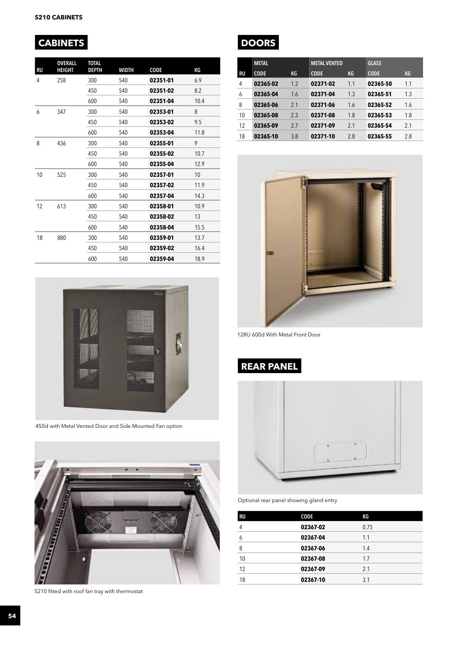# **CABINETS DOORS**

| RU | <b>OVERALL</b><br>HEIGHT | <b>TOTAL</b><br>DEPTH | <b>WIDTH</b> | CODE     | КG   |
|----|--------------------------|-----------------------|--------------|----------|------|
| 4  | 258                      | 300                   | 540          | 02351-01 | 6.9  |
|    |                          | 450                   | 540          | 02351-02 | 8.2  |
|    |                          | 600                   | 540          | 02351-04 | 10.4 |
| 6  | 347                      | 300                   | 540          | 02353-01 | 8    |
|    |                          | 450                   | 540          | 02353-02 | 9.5  |
|    |                          | 600                   | 540          | 02353-04 | 11.8 |
| 8  | 436                      | 300                   | 540          | 02355-01 | 9    |
|    |                          | 450                   | 540          | 02355-02 | 10.7 |
|    |                          | 600                   | 540          | 02355-04 | 12.9 |
| 10 | 525                      | 300                   | 540          | 02357-01 | 10   |
|    |                          | 450                   | 540          | 02357-02 | 11.9 |
|    |                          | 600                   | 540          | 02357-04 | 14.3 |
| 12 | 613                      | 300                   | 540          | 02358-01 | 10.9 |
|    |                          | 450                   | 540          | 02358-02 | 13   |
|    |                          | 600                   | 540          | 02358-04 | 15.5 |
| 18 | 880                      | 300                   | 540          | 02359-01 | 13.7 |
|    |                          | 450                   | 540          | 02359-02 | 16.4 |
|    |                          | 600                   | 540          | 02359-04 | 18.9 |



450d with Metal Vented Door and Side Mounted Fan option



S210 fitted with roof fan tray with thermostat



|    | <b>METAL</b> |     | <b>METAL VENTED</b> |     | <b>GLASS</b> |           |
|----|--------------|-----|---------------------|-----|--------------|-----------|
| RU | <b>CODE</b>  | KG  | <b>CODE</b>         | KG  | <b>CODE</b>  | <b>KG</b> |
| 4  | 02365-02     | 1.2 | 02371-02            | 1.1 | 02365-50     | 1.1       |
| 6  | 02365-04     | 1.6 | 02371-04            | 1.3 | 02365-51     | 1.3       |
| 8  | 02365-06     | 2.1 | 02371-06            | 1.6 | 02365-52     | 1.6       |
| 10 | 02365-08     | 2.3 | 02371-08            | 1.8 | 02365-53     | 1.8       |
| 12 | 02365-09     | 27  | 02371-09            | 21  | 02365-54     | 2.1       |
| 18 | 02365-10     | 3.8 | 02371-10            | 2.8 | 02365-55     | 2.8       |



12RU 600d With Metal Front Door

## **REAR PANEL**



Optional rear panel showing gland entry

| RU | CODE     | КG   |
|----|----------|------|
| 4  | 02367-02 | 0.75 |
| 6  | 02367-04 | 1.1  |
| 8  | 02367-06 | 1.4  |
| 10 | 02367-08 | 1.7  |
| 12 | 02367-09 | 2.1  |
| 18 | 02367-10 | 3.1  |